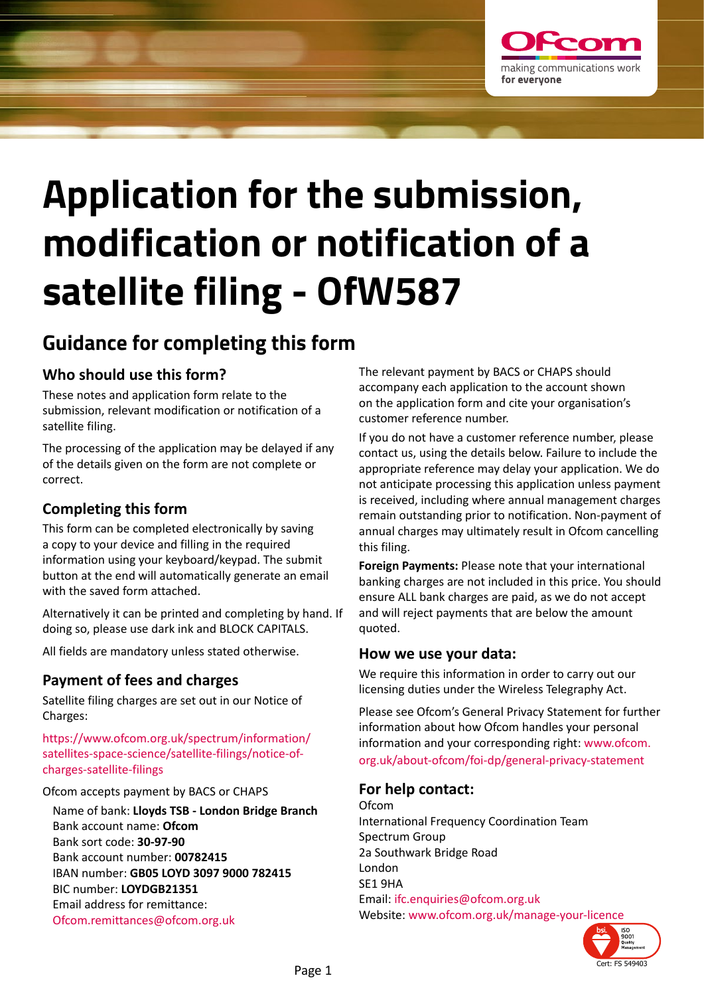

# **Application for the submission, modification or notification of a satellite filing - OfW587**

## **Guidance for completing this form**

### **Who should use this form?**

These notes and application form relate to the submission, relevant modification or notification of a satellite filing.

The processing of the application may be delayed if any of the details given on the form are not complete or correct.

### **Completing this form**

This form can be completed electronically by saving a copy to your device and filling in the required information using your keyboard/keypad. The submit button at the end will automatically generate an email with the saved form attached.

Alternatively it can be printed and completing by hand. If doing so, please use dark ink and BLOCK CAPITALS.

All fields are mandatory unless stated otherwise.

### **Payment of fees and charges**

Satellite filing charges are set out in our Notice of Charges:

[https://www.ofcom.org.uk/spectrum/information/](https://www.ofcom.org.uk/spectrum/information/satellites-space-science/satellite-filings/notice-of-charges-satellite-filings) [satellites-space-science/satellite-filings/notice-of](https://www.ofcom.org.uk/spectrum/information/satellites-space-science/satellite-filings/notice-of-charges-satellite-filings)[charges-satellite-filings](https://www.ofcom.org.uk/spectrum/information/satellites-space-science/satellite-filings/notice-of-charges-satellite-filings)

Ofcom accepts payment by BACS or CHAPS

Name of bank: **Lloyds TSB - London Bridge Branch** Bank account name: **Ofcom** Bank sort code: **30-97-90** Bank account number: **00782415** IBAN number: **GB05 LOYD 3097 9000 782415**  BIC number: **LOYDGB21351** Email address for remittance: [Ofcom.remittances@ofcom.org.uk](mailto:Ofcom.remittances%40ofcom.org.uk?subject=)

The relevant payment by BACS or CHAPS should accompany each application to the account shown on the application form and cite your organisation's customer reference number.

If you do not have a customer reference number, please contact us, using the details below. Failure to include the appropriate reference may delay your application. We do not anticipate processing this application unless payment is received, including where annual management charges remain outstanding prior to notification. Non-payment of annual charges may ultimately result in Ofcom cancelling this filing.

**Foreign Payments:** Please note that your international banking charges are not included in this price. You should ensure ALL bank charges are paid, as we do not accept and will reject payments that are below the amount quoted.

### **How we use your data:**

We require this information in order to carry out our licensing duties under the Wireless Telegraphy Act.

Please see Ofcom's General Privacy Statement for further information about how Ofcom handles your personal information and your corresponding right: [www.ofcom.](http://www.ofcom.org.uk/about-ofcom/foi-dp/general-privacy-statement) [org.uk/about-ofcom/foi-dp/general-privacy-statement](http://www.ofcom.org.uk/about-ofcom/foi-dp/general-privacy-statement)

### **For help contact:**

Ofcom International Frequency Coordination Team Spectrum Group 2a Southwark Bridge Road London SE1 9HA Email: [ifc.enquiries@ofcom.org.uk](mailto:ifc.enquiries%40ofcom.org.uk?subject=Application%20for%20the%20Submission%2C%20Modification%20or%20Notification%20of%20a%20satellite%20filing) Website: <www.ofcom.org.uk/manage-your-licence>

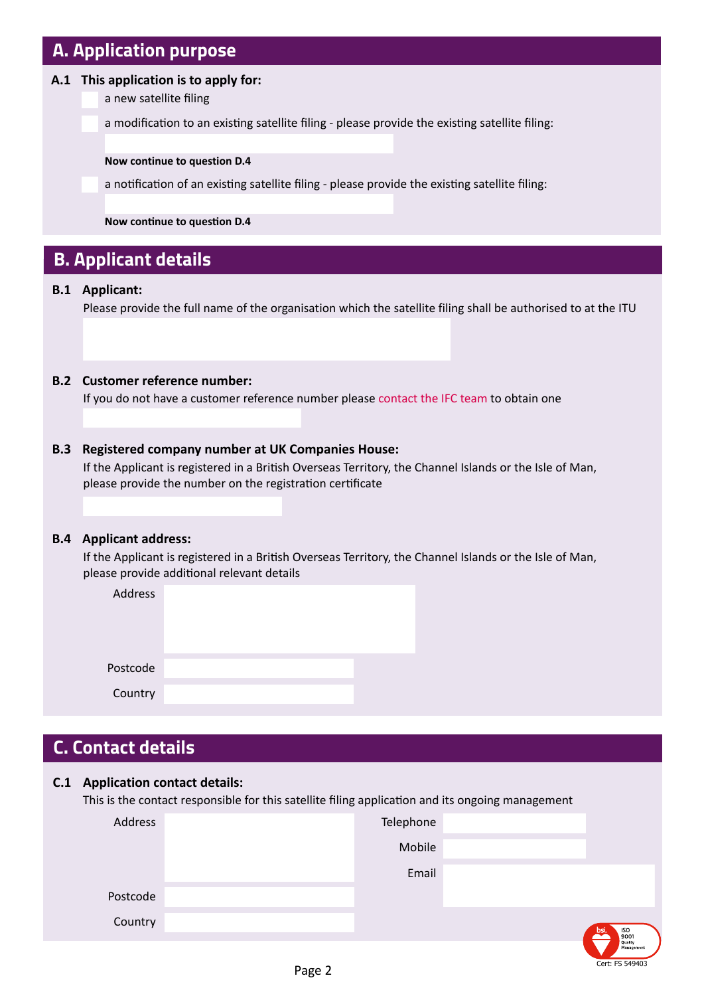### **A. Application purpose**

### **A.1 This application is to apply for:**

a new satellite filing

a modification to an existing satellite filing - please provide the existing satellite filing:

#### **Now continue to question D.4**

a notification of an existing satellite filing - please provide the existing satellite filing:

**Now continue to question D.4**

### **B. Applicant details**

### **B.1 Applicant:**

Please provide the full name of the organisation which the satellite filing shall be authorised to at the ITU

### **B.2 Customer reference number:**

If you do not have a customer reference number please [contact the IFC team](mailto:ifc.enquiries%40ofcom.org.uk?subject=Customer%20reference%20number) to obtain one

### **B.3 Registered company number at UK Companies House:**

If the Applicant is registered in a British Overseas Territory, the Channel Islands or the Isle of Man, please provide the number on the registration certificate

#### **B.4 Applicant address:**

If the Applicant is registered in a British Overseas Territory, the Channel Islands or the Isle of Man, please provide additional relevant details

| Address  |  |  |  |
|----------|--|--|--|
|          |  |  |  |
|          |  |  |  |
| Postcode |  |  |  |
| Country  |  |  |  |

### **C. Contact details**

### **C.1 Application contact details:**

This is the contact responsible for this satellite filing application and its ongoing management

| Address  | Telephone |                            |
|----------|-----------|----------------------------|
|          | Mobile    |                            |
|          | Email     |                            |
| Postcode |           |                            |
| Country  |           | bsi.<br>$\int_{9001}^{50}$ |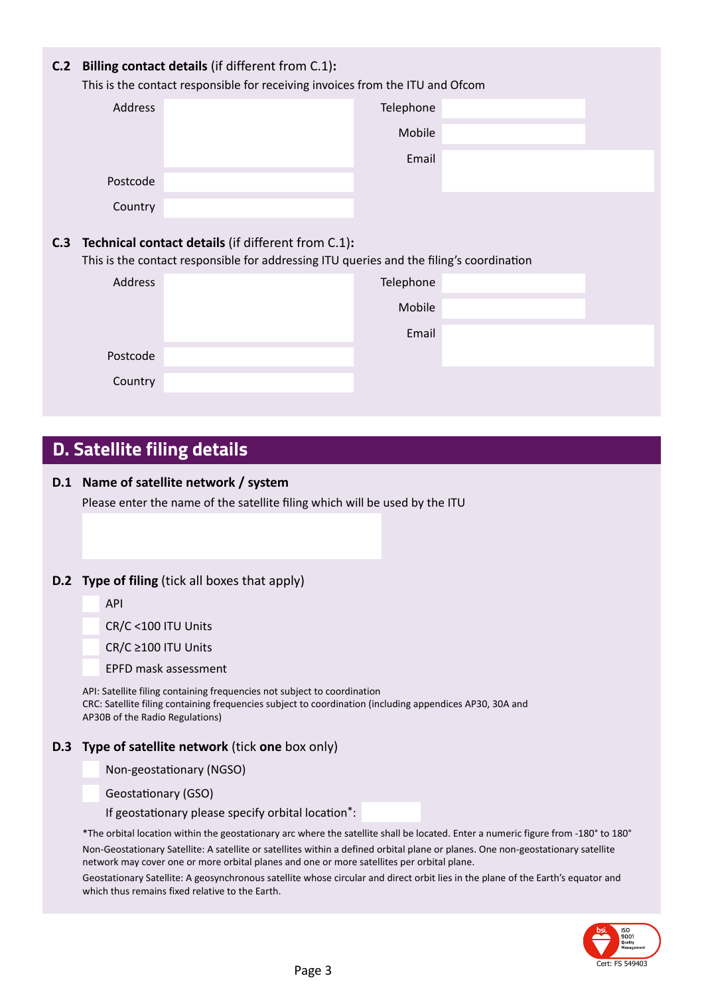| C.2 | <b>Billing contact details (if different from C.1):</b><br>This is the contact responsible for receiving invoices from the ITU and Ofcom |                                                                                                                                                |  |  |
|-----|------------------------------------------------------------------------------------------------------------------------------------------|------------------------------------------------------------------------------------------------------------------------------------------------|--|--|
|     | Address                                                                                                                                  | Telephone                                                                                                                                      |  |  |
|     |                                                                                                                                          | Mobile                                                                                                                                         |  |  |
|     |                                                                                                                                          | Email                                                                                                                                          |  |  |
|     | Postcode                                                                                                                                 |                                                                                                                                                |  |  |
|     | Country                                                                                                                                  |                                                                                                                                                |  |  |
| C.3 |                                                                                                                                          | Technical contact details (if different from C.1):<br>This is the contact responsible for addressing ITU queries and the filing's coordination |  |  |
|     | Address                                                                                                                                  | Telephone                                                                                                                                      |  |  |
|     |                                                                                                                                          | Mobile                                                                                                                                         |  |  |
|     |                                                                                                                                          | Email                                                                                                                                          |  |  |
|     |                                                                                                                                          |                                                                                                                                                |  |  |
|     | Postcode                                                                                                                                 |                                                                                                                                                |  |  |
|     | Country                                                                                                                                  |                                                                                                                                                |  |  |

### **D. Satellite filing details**

### **D.1 Name of satellite network / system**

Please enter the name of the satellite filing which will be used by the ITU

#### **D.2 Type of filing** (tick all boxes that apply)

CR/C <100 ITU Units

CR/C ≥100 ITU Units

EPFD mask assessment

API: Satellite filing containing frequencies not subject to coordination CRC: Satellite filing containing frequencies subject to coordination (including appendices AP30, 30A and AP30B of the Radio Regulations)

#### **D.3 Type of satellite network** (tick **one** box only)

Non-geostationary (NGSO)

Geostationary (GSO)

If geostationary please specify orbital location\*:

\*The orbital location within the geostationary arc where the satellite shall be located. Enter a numeric figure from -180° to 180°

Non-Geostationary Satellite: A satellite or satellites within a defined orbital plane or planes. One non-geostationary satellite network may cover one or more orbital planes and one or more satellites per orbital plane.

Geostationary Satellite: A geosynchronous satellite whose circular and direct orbit lies in the plane of the Earth's equator and which thus remains fixed relative to the Earth.

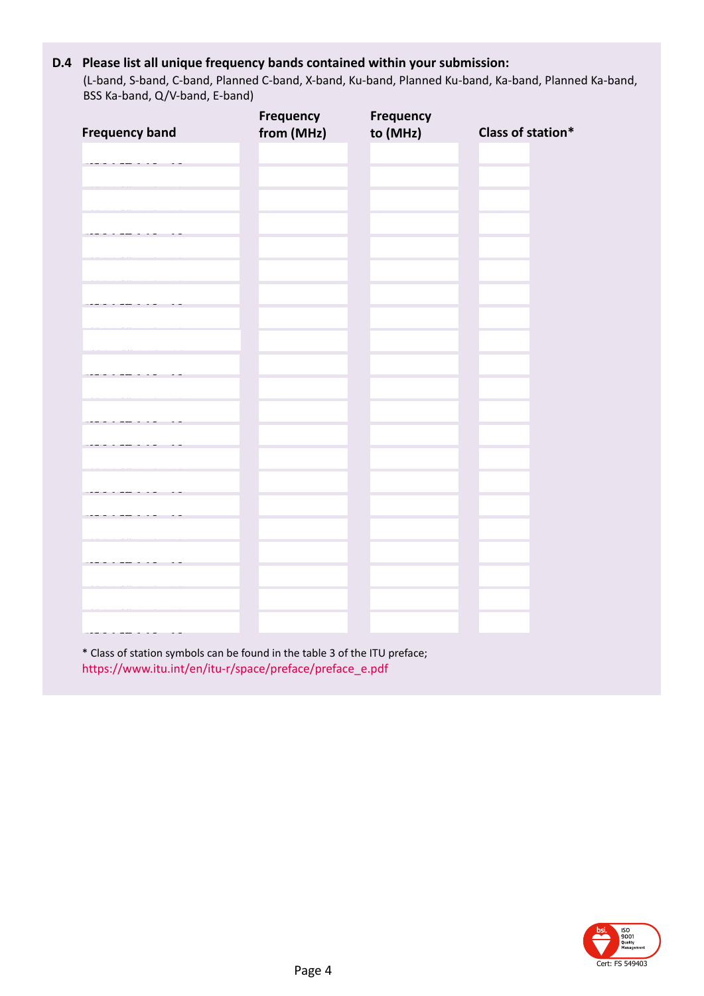### **D.4 Please list all unique frequency bands contained within your submission:**

(L-band, S-band, C-band, Planned C-band, X-band, Ku-band, Planned Ku-band, Ka-band, Planned Ka-band, BSS Ka-band, Q/V-band, E-band)

|                       | Frequency  | Frequency |                   |
|-----------------------|------------|-----------|-------------------|
| <b>Frequency band</b> | from (MHz) | to (MHz)  | Class of station* |
|                       |            |           |                   |
|                       |            |           |                   |
|                       |            |           |                   |
|                       |            |           |                   |
|                       |            |           |                   |
|                       |            |           |                   |
|                       |            |           |                   |
|                       |            |           |                   |
|                       |            |           |                   |
|                       |            |           |                   |
|                       |            |           |                   |
|                       |            |           |                   |
|                       |            |           |                   |
|                       |            |           |                   |
|                       |            |           |                   |
|                       |            |           |                   |
|                       |            |           |                   |
|                       |            |           |                   |
|                       |            |           |                   |
|                       |            |           |                   |
|                       |            |           |                   |
|                       |            |           |                   |
|                       |            |           |                   |
|                       |            |           |                   |
|                       |            |           |                   |
|                       |            |           |                   |
|                       |            |           |                   |
|                       |            |           |                   |
|                       |            |           |                   |
|                       |            |           |                   |
|                       |            |           |                   |
|                       |            |           |                   |
|                       |            |           |                   |
|                       |            |           |                   |
|                       |            |           |                   |
|                       |            |           |                   |
|                       |            |           |                   |
|                       |            |           |                   |
|                       |            |           |                   |
|                       |            |           |                   |
|                       |            |           |                   |
|                       |            |           |                   |
|                       |            |           |                   |

\* Class of station symbols can be found in the table 3 of the ITU preface; [https://www.itu.int/en/itu-r/space/preface/preface\\_e.pdf](https://www.itu.int/en/itu-r/space/preface/preface_e.pdf#page=146)

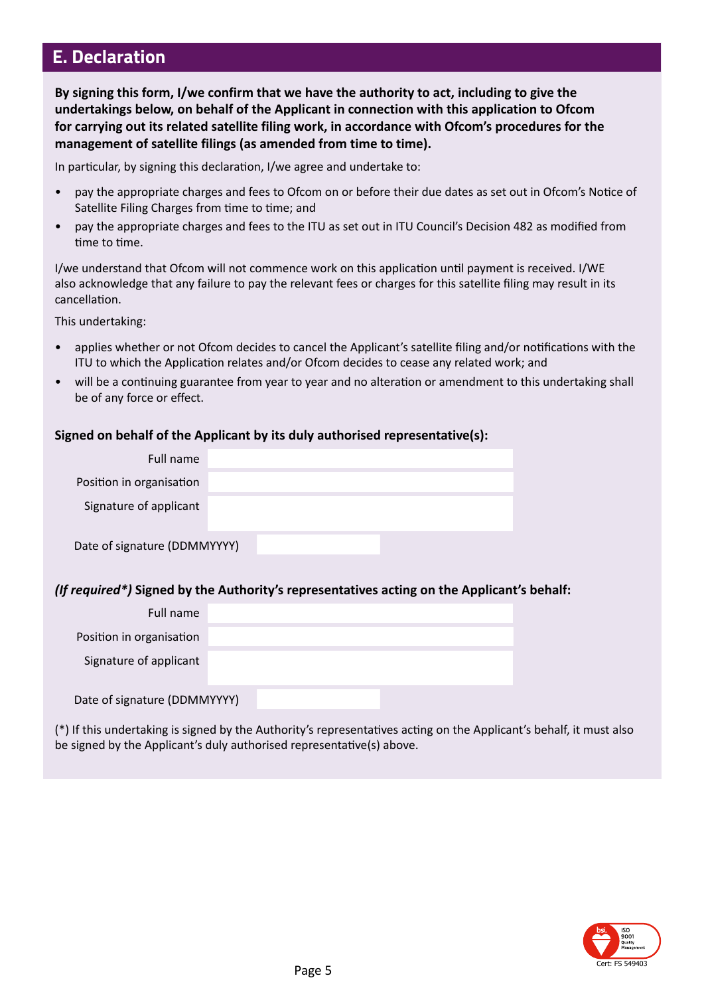### **E. Declaration**

**By signing this form, I/we confirm that we have the authority to act, including to give the undertakings below, on behalf of the Applicant in connection with this application to Ofcom for carrying out its related satellite filing work, in accordance with Ofcom's procedures for the management of satellite filings (as amended from time to time).**

In particular, by signing this declaration, I/we agree and undertake to:

- pay the appropriate charges and fees to Ofcom on or before their due dates as set out in Ofcom's Notice of Satellite Filing Charges from time to time; and
- pay the appropriate charges and fees to the ITU as set out in ITU Council's Decision 482 as modified from time to time.

I/we understand that Ofcom will not commence work on this application until payment is received. I/WE also acknowledge that any failure to pay the relevant fees or charges for this satellite filing may result in its cancellation.

This undertaking:

- applies whether or not Ofcom decides to cancel the Applicant's satellite filing and/or notifications with the ITU to which the Application relates and/or Ofcom decides to cease any related work; and
- will be a continuing guarantee from year to year and no alteration or amendment to this undertaking shall be of any force or effect.

### **Signed on behalf of the Applicant by its duly authorised representative(s):**

| Full name                    |  |  |
|------------------------------|--|--|
| Position in organisation     |  |  |
| Signature of applicant       |  |  |
| Date of signature (DDMMYYYY) |  |  |

#### *(If required\*)* **Signed by the Authority's representatives acting on the Applicant's behalf:**

| Full name                    |  |  |
|------------------------------|--|--|
| Position in organisation     |  |  |
| Signature of applicant       |  |  |
| Date of signature (DDMMYYYY) |  |  |

(\*) If this undertaking is signed by the Authority's representatives acting on the Applicant's behalf, it must also be signed by the Applicant's duly authorised representative(s) above.